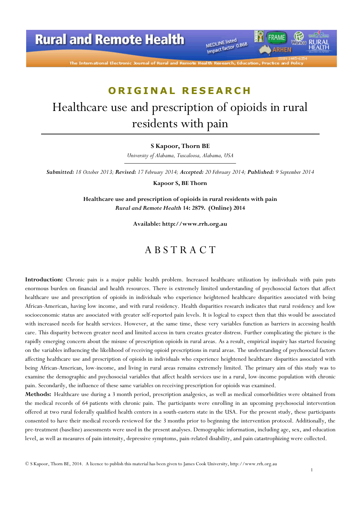# **Rural and Remote Health**

The International Electronic Journal of Rural and Remo

MEDLINE listed MEDLINE listed<br>Impact factor 0.868 FRAME

*IRHEN* 

# ORIGINAL RESEARCH

# Healthcare use and prescription of opioids in rural residents with pain

#### S Kapoor, Thorn BE

University of Alabama, Tuscaloosa, Alabama, USA

Submitted: 18 October 2013; Revised: 17 February 2014; Accepted: 20 February 2014; Published: 9 September 2014

Kapoor S, BE Thorn

Healthcare use and prescription of opioids in rural residents with pain Rural and Remote Health 14: 2879. (Online) 2014

Available: http://www.rrh.org.au

### A B S T R A C T

Introduction: Chronic pain is a major public health problem. Increased healthcare utilization by individuals with pain puts enormous burden on financial and health resources. There is extremely limited understanding of psychosocial factors that affect healthcare use and prescription of opioids in individuals who experience heightened healthcare disparities associated with being African-American, having low income, and with rural residency. Health disparities research indicates that rural residency and low socioeconomic status are associated with greater self-reported pain levels. It is logical to expect then that this would be associated with increased needs for health services. However, at the same time, these very variables function as barriers in accessing health care. This disparity between greater need and limited access in turn creates greater distress. Further complicating the picture is the rapidly emerging concern about the misuse of prescription opioids in rural areas. As a result, empirical inquiry has started focusing on the variables influencing the likelihood of receiving opioid prescriptions in rural areas. The understanding of psychosocial factors affecting healthcare use and prescription of opioids in individuals who experience heightened healthcare disparities associated with being African-American, low-income, and living in rural areas remains extremely limited. The primary aim of this study was to examine the demographic and psychosocial variables that affect health services use in a rural, low-income population with chronic pain. Secondarily, the influence of these same variables on receiving prescription for opioids was examined.

Methods: Healthcare use during a 3 month period, prescription analgesics, as well as medical comorbidities were obtained from the medical records of 64 patients with chronic pain. The participants were enrolling in an upcoming psychosocial intervention offered at two rural federally qualified health centers in a south-eastern state in the USA. For the present study, these participants consented to have their medical records reviewed for the 3 months prior to beginning the intervention protocol. Additionally, the pre-treatment (baseline) assessments were used in the present analyses. Demographic information, including age, sex, and education level, as well as measures of pain intensity, depressive symptoms, pain-related disability, and pain catastrophizing were collected.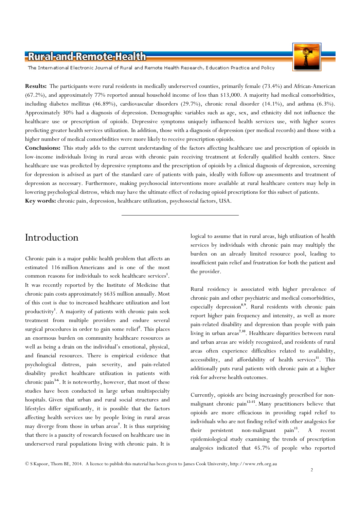The International Electronic Journal of Rural and Remote Health Research, Education Practice and Policy

Results: The participants were rural residents in medically underserved counties, primarily female (73.4%) and African-American (67.2%), and approximately 77% reported annual household income of less than \$13,000. A majority had medical comorbidities, including diabetes mellitus (46.89%), cardiovascular disorders (29.7%), chronic renal disorder (14.1%), and asthma (6.3%). Approximately 30% had a diagnosis of depression. Demographic variables such as age, sex, and ethnicity did not influence the healthcare use or prescription of opioids. Depressive symptoms uniquely influenced health services use, with higher scores predicting greater health services utilization. In addition, those with a diagnosis of depression (per medical records) and those with a higher number of medical comorbidities were more likely to receive prescription opioids.

Conclusions: This study adds to the current understanding of the factors affecting healthcare use and prescription of opioids in low-income individuals living in rural areas with chronic pain receiving treatment at federally qualified health centers. Since healthcare use was predicted by depressive symptoms and the prescription of opioids by a clinical diagnosis of depression, screening for depression is advised as part of the standard care of patients with pain, ideally with follow-up assessments and treatment of depression as necessary. Furthermore, making psychosocial interventions more available at rural healthcare centers may help in lowering psychological distress, which may have the ultimate effect of reducing opioid prescriptions for this subset of patients. Key words: chronic pain, depression, healthcare utilization, psychosocial factors, USA.

# Introduction

Chronic pain is a major public health problem that affects an estimated 116 million Americans and is one of the most common reasons for individuals to seek healthcare services<sup>1</sup>. It was recently reported by the Institute of Medicine that chronic pain costs approximately \$635 million annually. Most of this cost is due to increased healthcare utilization and lost productivity<sup>1</sup>. A majority of patients with chronic pain seek treatment from multiple providers and endure several surgical procedures in order to gain some relief<sup>2</sup>. This places an enormous burden on community healthcare resources as well as being a drain on the individual's emotional, physical, and financial resources. There is empirical evidence that psychological distress, pain severity, and pain-related disability predict healthcare utilization in patients with chronic pain<sup>3-6</sup>. It is noteworthy, however, that most of these studies have been conducted in large urban multispecialty hospitals. Given that urban and rural social structures and lifestyles differ significantly, it is possible that the factors affecting health services use by people living in rural areas may diverge from those in urban areas<sup>7</sup>. It is thus surprising that there is a paucity of research focused on healthcare use in underserved rural populations living with chronic pain. It is

logical to assume that in rural areas, high utilization of health services by individuals with chronic pain may multiply the burden on an already limited resource pool, leading to insufficient pain relief and frustration for both the patient and the provider.

Rural residency is associated with higher prevalence of chronic pain and other psychiatric and medical comorbidities, especially depression<sup>8,9</sup>. Rural residents with chronic pain report higher pain frequency and intensity, as well as more pain-related disability and depression than people with pain living in urban areas<sup>7,10</sup>. Healthcare disparities between rural and urban areas are widely recognized, and residents of rural areas often experience difficulties related to availability, accessibility, and affordability of health services<sup>11</sup>. This additionally puts rural patients with chronic pain at a higher risk for adverse health outcomes.

Currently, opioids are being increasingly prescribed for nonmalignant chronic pain<sup>12-15</sup>. Many practitioners believe that opioids are more efficacious in providing rapid relief to individuals who are not finding relief with other analgesics for their persistent non-malignant pain<sup>13</sup>. A recent epidemiological study examining the trends of prescription analgesics indicated that 45.7% of people who reported

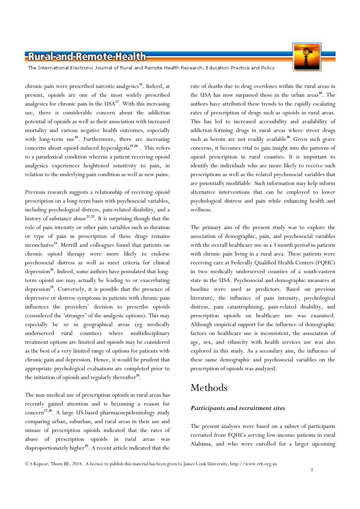

The International Electronic Journal of Rural and Remote Health Research, Education Practice and Policy

chronic pain were prescribed narcotic analgesics<sup>16</sup>. Indeed, at present, opioids are one of the most widely prescribed analgesics for chronic pain in the  $USA^{17}$ . With this increasing use, there is considerable concern about the addiction potential of opioids as well as their association with increased mortality and various negative health outcomes, especially with long-term use<sup>18</sup>. Furthermore, there are increasing concerns about opioid-induced hyperalgesia<sup>19,20</sup>. This refers to a paradoxical condition wherein a patient receiving opioid analgesics experiences heightened sensitivity to pain, in relation to the underlying pain condition as well as new pains.

Previous research suggests a relationship of receiving opioid prescription on a long-term basis with psychosocial variables, including psychological distress, pain-related disability, and a history of substance abuse<sup>21,22</sup>. It is surprising though that the role of pain intensity or other pain variables such as duration or type of pain in prescription of these drugs remains inconclusive<sup>23</sup>. Merrill and colleagues found that patients on chronic opioid therapy were more likely to endorse psychosocial distress as well as meet criteria for clinical depression<sup>24</sup>. Indeed, some authors have postulated that longterm opioid use may actually be leading to or exacerbating depression<sup>25</sup>. Conversely, it is possible that the presence of depressive or distress symptoms in patients with chronic pain influences the providers' decision to prescribe opioids (considered the 'stronger' of the analgesic options). This may especially be so in geographical areas (eg medically underserved rural counties) where multidisciplinary treatment options are limited and opioids may be considered as the best of a very limited range of options for patients with chronic pain and depression. Hence, it would be prudent that appropriate psychological evaluations are completed prior to the initiation of opioids and regularly thereafter<sup>26</sup>.

The non-medical use of prescription opioids in rural areas has recently gained attention and is becoming a reason for concern <sup>27</sup>,<sup>28</sup>. A large US-based pharmacoepidemiology study comparing urban, suburban, and rural areas in their use and misuse of prescription opioids indicated that the rates of abuse of prescription opioids in rural areas was disproportionately higher<sup>29</sup>. A recent article indicated that the

rate of deaths due to drug overdoses within the rural areas in the USA has now surpassed those in the urban areas<sup>30</sup>. The authors have attributed these trends to the rapidly escalating rates of prescription of drugs such as opioids in rural areas. This has led to increased accessibility and availability of addiction-forming drugs in rural areas where street drugs such as heroin are not readily available<sup>30</sup>. Given such grave concerns, it becomes vital to gain insight into the patterns of opioid prescription in rural counties. It is important to identify the individuals who are more likely to receive such prescriptions as well as the related psychosocial variables that are potentially modifiable. Such information may help inform alternative interventions that can be employed to lower psychological distress and pain while enhancing health and wellness.

The primary aim of the present study was to explore the association of demographic, pain, and psychosocial variables with the overall healthcare use in a 3 month period in patients with chronic pain living in a rural area. These patients were receiving care at Federally Qualified Health Centers (FQHC) in two medically underserved counties of a south-eastern state in the USA. Psychosocial and demographic measures at baseline were used as predictors. Based on previous literature, the influence of pain intensity, psychological distress, pain catastrophizing, pain-related disability, and prescription opioids on healthcare use was examined. Although empirical support for the influence of demographic factors on healthcare use is inconsistent, the association of age, sex, and ethnicity with health services use was also explored in this study. As a secondary aim, the influence of these same demographic and psychosocial variables on the prescription of opioids was analyzed.

# Methods

#### Participants and recruitment sites

The present analyses were based on a subset of participants recruited from FQHCs serving low-income patients in rural Alabama, and who were enrolled for a larger upcoming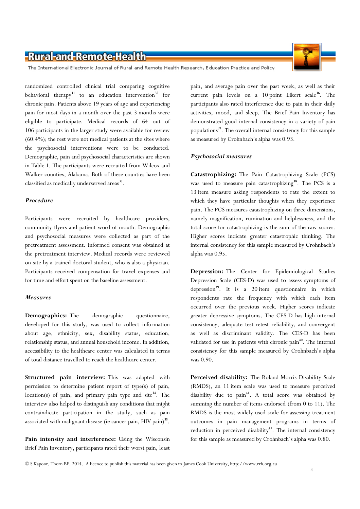The International Electronic Journal of Rural and Remote Health Research, Education Practice and Policy

randomized controlled clinical trial comparing cognitive behavioral therapy<sup>31</sup> to an education intervention<sup>32</sup> for chronic pain. Patients above 19 years of age and experiencing pain for most days in a month over the past 3 months were eligible to participate. Medical records of 64 out of 106 participants in the larger study were available for review (60.4%); the rest were not medical patients at the sites where the psychosocial interventions were to be conducted. Demographic, pain and psychosocial characteristics are shown in Table 1. The participants were recruited from Wilcox and Walker counties, Alabama. Both of these counties have been classified as medically underserved areas<sup>33</sup>.

#### Procedure

Participants were recruited by healthcare providers, community flyers and patient word-of-mouth. Demographic and psychosocial measures were collected as part of the pretreatment assessment. Informed consent was obtained at the pretreatment interview. Medical records were reviewed on-site by a trained doctoral student, who is also a physician. Participants received compensation for travel expenses and for time and effort spent on the baseline assessment.

#### Measures

Demographics: The demographic questionnaire, developed for this study, was used to collect information about age, ethnicity, sex, disability status, education, relationship status, and annual household income. In addition, accessibility to the healthcare center was calculated in terms of total distance travelled to reach the healthcare center.

Structured pain interview: This was adapted with permission to determine patient report of type(s) of pain,  $location(s)$  of pain, and primary pain type and site<sup>34</sup>. The interview also helped to distinguish any conditions that might contraindicate participation in the study, such as pain associated with malignant disease (ie cancer pain, HIV pain)<sup>35</sup>.

Pain intensity and interference: Using the Wisconsin Brief Pain Inventory, participants rated their worst pain, least pain, and average pain over the past week, as well as their current pain levels on a 10 point Likert scale<sup>36</sup>. The participants also rated interference due to pain in their daily activities, mood, and sleep. The Brief Pain Inventory has demonstrated good internal consistency in a variety of pain populations<sup>37</sup>. The overall internal consistency for this sample as measured by Crohnbach's alpha was 0.93.

#### Psychosocial measures

Catastrophizing: The Pain Catastrophizing Scale (PCS) was used to measure pain catastrophizing<sup>38</sup>. The PCS is a 13 item measure asking respondents to rate the extent to which they have particular thoughts when they experience pain. The PCS measures catastrophizing on three dimensions, namely magnification, rumination and helplessness, and the total score for catastrophizing is the sum of the raw scores. Higher scores indicate greater catastrophic thinking. The internal consistency for this sample measured by Crohnbach's alpha was 0.95.

Depression: The Center for Epidemiological Studies Depression Scale (CES-D) was used to assess symptoms of depression<sup>39</sup>. It is a 20 item questionnaire in which respondents rate the frequency with which each item occurred over the previous week. Higher scores indicate greater depressive symptoms. The CES-D has high internal consistency, adequate test-retest reliability, and convergent as well as discriminant validity. The CES-D has been validated for use in patients with chronic pain<sup>40</sup>. The internal consistency for this sample measured by Crohnbach's alpha was 0.90.

Perceived disability: The Roland-Morris Disability Scale (RMDS), an 11 item scale was used to measure perceived disability due to  $\text{pain}^{41}$ . A total score was obtained by summing the number of items endorsed (from 0 to 11). The RMDS is the most widely used scale for assessing treatment outcomes in pain management programs in terms of reduction in perceived disability<sup>41</sup>. The internal consistency for this sample as measured by Crohnbach's alpha was 0.80.

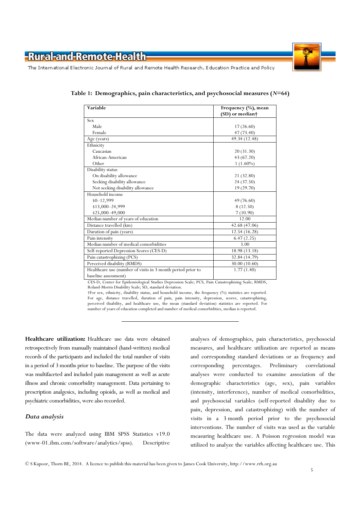



The International Electronic Journal of Rural and Remote Health Research, Education Practice and Policy

| Variable                                                    | Frequency (%), mean<br>(SD) or median† |
|-------------------------------------------------------------|----------------------------------------|
| Sex                                                         |                                        |
| Male                                                        | 17(26.60)                              |
| Female                                                      | 47(73.40)                              |
| Age (years)                                                 | 49.34 (12.48)                          |
| Ethnicity                                                   |                                        |
| Caucasian                                                   | 20(31.30)                              |
| African-American                                            | 43 (67.20)                             |
| Other                                                       | $1(1.60\%)$                            |
| Disability status                                           |                                        |
| On disability allowance                                     | 21 (32.80)                             |
|                                                             | 24(37.50)                              |
| Seeking disability allowance                                | 19 (29.70)                             |
| Not seeking disability allowance<br>Household income        |                                        |
|                                                             |                                        |
| $$0 - 12,999$                                               | 49 (76.60)                             |
| \$13,000-24,999                                             | 8(12.50)                               |
| \$25,000-49,000                                             | 7(10.90)                               |
| Median number of years of education                         | 12.00                                  |
| Distance travelled (km)                                     | 42.68 (47.06)                          |
| Duration of pain (years)                                    | 12.54 (16.28)                          |
| Pain intensity                                              | 6.47(2.25)                             |
| Median number of medical comorbidities                      | 3.00                                   |
| Self-reported Depression Scores (CES-D)                     | 18.98 (13.18)                          |
| Pain catastrophizing (PCS)                                  | 32.84 (14.79)                          |
| Perceived disability (RMDS)                                 | 30.00 (10.60)                          |
| Healthcare use (number of visits in 3 month period prior to | 1.77(1.40)                             |
| baseline assessment)                                        |                                        |

Table 1: Demographics, pain characteristics, and psychosocial measures  $(N=64)$ 

CES-D, Center for Epidemiological Studies Depression Scale; PCS, Pain Catastrophizing Scale; RMDS, Roland-Morris Disability Scale; SD, standard deviation.

†For sex, ethnicity, disability status, and household income, the frequency (%) statistics are reported. For age, distance travelled, duration of pain, pain intensity, depression, scores, catastrophizing, perceived disability, and healthcare use, the mean (standard deviation) statistics are reported. For number of years of education completed and number of medical comorbidities, median is reported.

Healthcare utilization: Healthcare use data were obtained retrospectively from manually maintained (hand-written) medical records of the participants and included the total number of visits in a period of 3 months prior to baseline. The purpose of the visits was multifaceted and included pain management as well as acute illness and chronic comorbidity management. Data pertaining to prescription analgesics, including opioids, as well as medical and psychiatric comorbidities, were also recorded.

#### Data analysis

The data were analyzed using IBM SPSS Statistics v19.0 (www-01.ibm.com/software/analytics/spss). Descriptive analyses of demographics, pain characteristics, psychosocial measures, and healthcare utilization are reported as means and corresponding standard deviations or as frequency and corresponding percentages. Preliminary correlational analyses were conducted to examine association of the demographic characteristics (age, sex), pain variables (intensity, interference), number of medical comorbidities, and psychosocial variables (self-reported disability due to pain, depression, and catastrophizing) with the number of visits in a 3 month period prior to the psychosocial interventions. The number of visits was used as the variable measuring healthcare use. A Poisson regression model was utilized to analyze the variables affecting healthcare use. This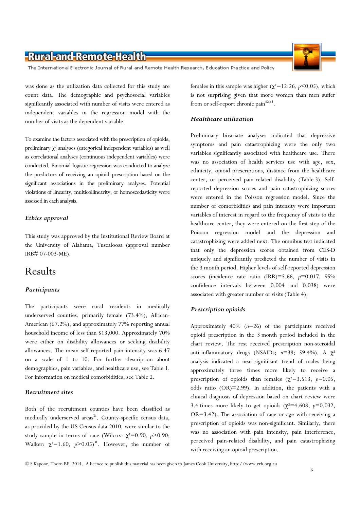The International Electronic Journal of Rural and Remote Health Research, Education Practice and Policy

was done as the utilization data collected for this study are count data. The demographic and psychosocial variables significantly associated with number of visits were entered as independent variables in the regression model with the number of visits as the dependent variable.

To examine the factors associated with the prescription of opioids, preliminary  $\chi^2$  analyses (categorical independent variables) as well as correlational analyses (continuous independent variables) were conducted. Binomial logistic regression was conducted to analyze the predictors of receiving an opioid prescription based on the significant associations in the preliminary analyses. Potential violations of linearity, multicollinearity, or homoscedasticity were assessed in each analysis.

#### Ethics approval

This study was approved by the Institutional Review Board at the University of Alabama, Tuscaloosa (approval number IRB# 07-003-ME).

### Results

#### **Participants**

The participants were rural residents in medically underserved counties, primarily female (73.4%), African-American (67.2%), and approximately 77% reporting annual household income of less than \$13,000. Approximately 70% were either on disability allowances or seeking disability allowances. The mean self-reported pain intensity was 6.47 on a scale of 1 to 10. For further description about demographics, pain variables, and healthcare use, see Table 1. For information on medical comorbidities, see Table 2.

#### Recruitment sites

Both of the recruitment counties have been classified as medically underserved areas<sup>31</sup>. County-specific census data, as provided by the US Census data 2010, were similar to the study sample in terms of race (Wilcox:  $\chi^2$ =0.90, p>0.90; Walker:  $\chi^2$ =1.60,  $p$ >0.05)<sup>31</sup>. However, the number of females in this sample was higher ( $χ²=12.26, p<0.05$ ), which is not surprising given that more women than men suffer from or self-report chronic pain<sup>42,43</sup>.

#### Healthcare utilization

Preliminary bivariate analyses indicated that depressive symptoms and pain catastrophizing were the only two variables significantly associated with healthcare use. There was no association of health services use with age, sex, ethnicity, opioid prescriptions, distance from the healthcare center, or perceived pain-related disability (Table 3). Selfreported depression scores and pain catastrophizing scores were entered in the Poisson regression model. Since the number of comorbidities and pain intensity were important variables of interest in regard to the frequency of visits to the healthcare center, they were entered on the first step of the Poisson regression model and the depression and catastrophizing were added next. The omnibus test indicated that only the depression scores obtained from CES-D uniquely and significantly predicted the number of visits in the 3 month period. Higher levels of self-reported depression scores (incidence rate ratio (IRR)=5.66,  $p=0.017$ , 95% confidence intervals between 0.004 and 0.038) were associated with greater number of visits (Table 4).

#### Prescription opioids

Approximately  $40\%$  ( $n=26$ ) of the participants received opioid prescription in the 3 month period included in the chart review. The rest received prescription non-steroidal anti-inflammatory drugs (NSAIDs;  $n=38$ ; 59.4%). A  $\chi^2$ analysis indicated a near-significant trend of males being approximately three times more likely to receive a prescription of opioids than females ( $\chi^2$ =3.513, p=0.05, odds ratio (OR)=2.99). In addition, the patients with a clinical diagnosis of depression based on chart review were 3.4 times more likely to get opioids ( $\chi^2$ =4.608, p=0.032, OR=3.42). The association of race or age with receiving a prescription of opioids was non-significant. Similarly, there was no association with pain intensity, pain interference, perceived pain-related disability, and pain catastrophizing with receiving an opioid prescription.



6

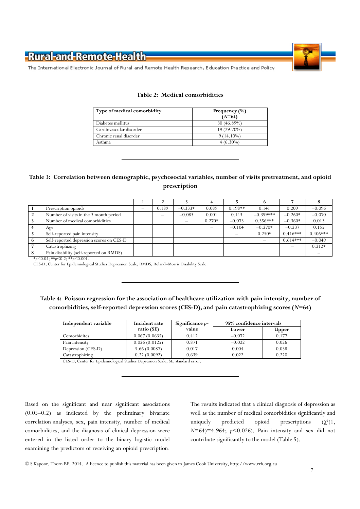



The International Electronic Journal of Rural and Remote Health Research, Education Practice and Policy

| Type of medical comorbidity | Frequency $(\% )$<br>$(N=64)$ |
|-----------------------------|-------------------------------|
| Diabetes mellitus           | $30(46.89\%)$                 |
| Cardiovascular disorder     | 19 (29.70%)                   |
| Chronic renal disorder      | $9(14.10\%)$                  |
| Asthma                      | $4(6.30\%)$                   |

#### Table 2: Medical comorbidities

#### Table 3: Correlation between demographic, psychosocial variables, number of visits pretreatment, and opioid prescription

| Prescription opioids                     | 0.189 | $-0.333*$ | 0.089    | $0.198**$ | 0.141       | 0.209      | $-0.096$   |
|------------------------------------------|-------|-----------|----------|-----------|-------------|------------|------------|
| Number of visits in the 3 month period   |       | $-0.083$  | 0.001    | 0.143     | $-0.399***$ | $-0.260*$  | $-0.070$   |
| Number of medical comorbidities          |       |           | $0.270*$ | $-0.073$  | $0.356***$  | $-0.360*$  | 0.013      |
| Age                                      |       |           |          | $-0.104$  | $-0.270*$   | $-0.237$   | 0.155      |
| Self-reported pain intensity             |       |           |          |           | $0.250*$    | $0.416***$ | $0.406***$ |
| Self-reported depression scores on CES-D |       |           |          |           |             | $0.614***$ | $-0.049$   |
| Catastrophizing                          |       |           |          |           |             |            | $0.212*$   |
| Pain disability (self-reported on RMDS)  |       |           |          |           |             |            |            |

 $*_{p}$ <0.05;  $*_{p}$ <0.2;  $*_{p}$ <0.001.

CES-D, Center for Epidemiological Studies Depression Scale; RMDS, Roland–Morris Disability Scale.

#### Table 4: Poisson regression for the association of healthcare utilization with pain intensity, number of comorbidities, self-reported depression scores (CES-D), and pain catastrophizing scores  $(N=64)$

| Independent variable | Incident rate | Significance $p-$ | 95% confidence intervals |       |
|----------------------|---------------|-------------------|--------------------------|-------|
|                      | ratio (SE)    | value             | Lower                    | Upper |
| Comorbidites         | 0.067(0.0635) | 0.412             | $-0.072$                 | 0.177 |
| Pain intensity       | 0.026(0.0125) | 0.871             | $-0.022$                 | 0.026 |
| Depression (CES-D)   | 5.66(0.0087)  | 0.017             | 0.004                    | 0.038 |
| Catastrophizing      | 0.22(0.0092)  | 0.639             | 0.022                    | 0.220 |

CES-D, Center for Epidemiological Studies Depression Scale; SE, standard error.

Based on the significant and near significant associations (0.05–0.2) as indicated by the preliminary bivariate correlation analyses, sex, pain intensity, number of medical comorbidities, and the diagnosis of clinical depression were entered in the listed order to the binary logistic model examining the predictors of receiving an opioid prescription. The results indicated that a clinical diagnosis of depression as well as the number of medical comorbidities significantly and uniquely predicted opioid prescriptions  $(\chi^2(1,$  $N=64$ )=4.964;  $p<0.026$ ). Pain intensity and sex did not contribute significantly to the model (Table 5).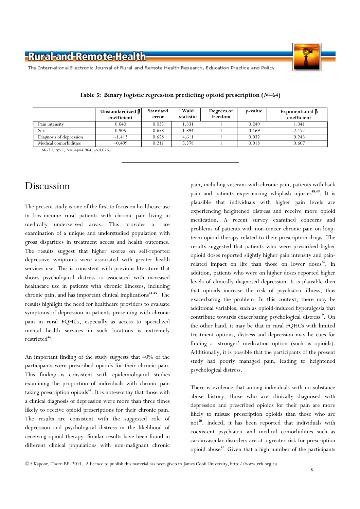The International Electronic Journal of Rural and Remote Health Research, Education Practice and Policy

|                         | Unstandardized $\beta$<br>coefficient | Standard<br>error | Wald<br>statistic | Degrees of<br>freedom | <i>p</i> -value | Exponentiated $\beta$<br>coefficient |
|-------------------------|---------------------------------------|-------------------|-------------------|-----------------------|-----------------|--------------------------------------|
| Pain intensity          | 0.040                                 | 0.035             | 1.331             |                       | 0.249           | 1.041                                |
| <b>Sex</b>              | 0.905                                 | 0.658             | 1.894             |                       | 0.169           | 2.472                                |
| Diagnosis of depression | $-1.413$                              | 0.658             | 4.611             |                       | 0.032           | 0.243                                |
| Medical comorbidities   | $-0.499$                              | 0.211             | 5.578             |                       | 0.018           | 0.607                                |

|  |  | Table 5: Binary logistic regression predicting opioid prescription $(N=64)$ |  |  |
|--|--|-----------------------------------------------------------------------------|--|--|
|  |  |                                                                             |  |  |

Model:  $\chi^2(1, N=64)=4.964; p<0.026$ .

# Discussion

The present study is one of the first to focus on healthcare use in low-income rural patients with chronic pain living in medically underserved areas. This provides a rare examination of a unique and understudied population with gross disparities in treatment access and health outcomes. The results suggest that higher scores on self-reported depressive symptoms were associated with greater health services use. This is consistent with previous literature that shows psychological distress is associated with increased healthcare use in patients with chronic illnesses, including chronic pain, and has important clinical implications <sup>44</sup>,<sup>45</sup>. The results highlight the need for healthcare providers to evaluate symptoms of depression in patients presenting with chronic pain in rural FQHCs, especially as access to specialized mental health services in such locations is extremely restricted<sup>46</sup>.

An important finding of the study suggests that 40% of the participants were prescribed opioids for their chronic pain. This finding is consistent with epidemiological studies examining the proportion of individuals with chronic pain taking prescription opioids<sup>47</sup>. It is noteworthy that those with a clinical diagnosis of depression were more than three times likely to receive opioid prescriptions for their chronic pain. The results are consistent with the suggested role of depression and psychological distress in the likelihood of receiving opioid therapy. Similar results have been found in different clinical populations with non-malignant chronic

pain, including veterans with chronic pain, patients with back pain and patients experiencing whiplash injuries<sup>48,49</sup>. It is plausible that individuals with higher pain levels are experiencing heightened distress and receive more opioid medication. A recent survey examined concerns and problems of patients with non-cancer chronic pain on longterm opioid therapy related to their prescription drugs. The results suggested that patients who were prescribed higher opioid doses reported slightly higher pain intensity and painrelated impact on life than those on lower doses<sup>24</sup>. In addition, patients who were on higher doses reported higher levels of clinically diagnosed depression. It is plausible then that opioids increase the risk of psychiatric illness, thus exacerbating the problem. In this context, there may be additional variables, such as opioid-induced hyperalgesia that contribute towards exacerbating psychological distress <sup>19</sup>. On the other hand, it may be that in rural FQHCs with limited treatment options, distress and depression may be cues for finding a 'stronger' medication option (such as opioids). Additionally, it is possible that the participants of the present study had poorly managed pain, leading to heightened psychological distress.

There is evidence that among individuals with no substance abuse history, those who are clinically diagnosed with depression and prescribed opioids for their pain are more likely to misuse prescription opioids than those who are not<sup>50</sup>. Indeed, it has been reported that individuals with coexistent psychiatric and medical comorbidities such as cardiovascular disorders are at a greater risk for prescription opioid abuse<sup>51</sup>. Given that a high number of the participants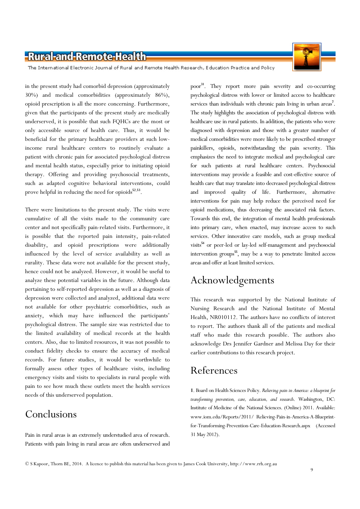The International Electronic Journal of Rural and Remote Health Research, Education Practice and Policy

in the present study had comorbid depression (approximately 30%) and medical comorbidities (approximately 86%), opioid prescription is all the more concerning. Furthermore, given that the participants of the present study are medically underserved, it is possible that such FQHCs are the most or only accessible source of health care. Thus, it would be beneficial for the primary healthcare providers at such lowincome rural healthcare centers to routinely evaluate a patient with chronic pain for associated psychological distress and mental health status, especially prior to initiating opioid therapy. Offering and providing psychosocial treatments, such as adapted cognitive behavioral interventions, could prove helpful in reducing the need for opioids<sup>52,53</sup>.

There were limitations to the present study. The visits were cumulative of all the visits made to the community care center and not specifically pain-related visits. Furthermore, it is possible that the reported pain intensity, pain-related disability, and opioid prescriptions were additionally influenced by the level of service availability as well as rurality. These data were not available for the present study, hence could not be analyzed. However, it would be useful to analyze these potential variables in the future. Although data pertaining to self-reported depression as well as a diagnosis of depression were collected and analyzed, additional data were not available for other psychiatric comorbidities, such as anxiety, which may have influenced the participants' psychological distress. The sample size was restricted due to the limited availability of medical records at the health centers. Also, due to limited resources, it was not possible to conduct fidelity checks to ensure the accuracy of medical records. For future studies, it would be worthwhile to formally assess other types of healthcare visits, including emergency visits and visits to specialists in rural people with pain to see how much these outlets meet the health services needs of this underserved population.

# Conclusions

Pain in rural areas is an extremely understudied area of research. Patients with pain living in rural areas are often underserved and

poor <sup>31</sup>. They report more pain severity and co-occurring psychological distress with lower or limited access to healthcare services than individuals with chronic pain living in urban  $area^7$ . The study highlights the association of psychological distress with healthcare use in rural patients. In addition, the patients who were diagnosed with depression and those with a greater number of medical comorbidities were more likely to be prescribed stronger painkillers, opioids, notwithstanding the pain severity. This emphasizes the need to integrate medical and psychological care for such patients at rural healthcare centers. Psychosocial interventions may provide a feasible and cost-effective source of health care that may translate into decreased psychological distress and improved quality of life. Furthermore, alternative interventions for pain may help reduce the perceived need for opioid medications, thus decreasing the associated risk factors. Towards this end, the integration of mental health professionals into primary care, when enacted, may increase access to such services. Other innovative care models, such as group medical visits<sup>54</sup> or peer-led or lay-led self-management and psychosocial intervention groups<sup>55</sup>, may be a way to penetrate limited access areas and offer at least limited services.

# Acknowledgements

This research was supported by the National Institute of Nursing Research and the National Institute of Mental Health, NR010112. The authors have no conflicts of interest to report. The authors thank all of the patients and medical staff who made this research possible. The authors also acknowledge Drs Jennifer Gardner and Melissa Day for their earlier contributions to this research project.

# References

1. Board on Health Sciences Policy. Relieving pain in America: a blueprint for transforming prevention, care, education, and research. Washington, DC: Institute of Medicine of the National Sciences. (Online) 2011. Available: www.iom.edu/Reports/2011/ Relieving-Pain-in-America-A-Blueprintfor-Transforming-Prevention-Care-Education-Research.aspx (Accessed 31 May 2012).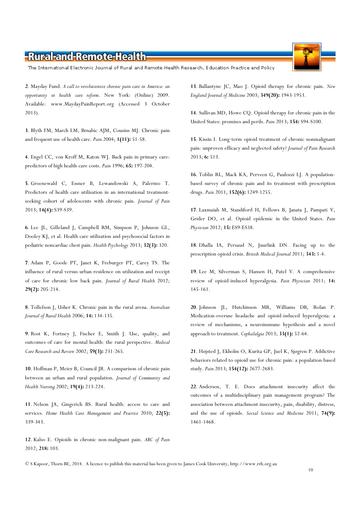The International Electronic Journal of Rural and Remote Health Research, Education Practice and Policy

2. Mayday Fund. A call to revolutionize chronic pain care in America: an opportunity in health care reform. New York: (Online) 2009. Available: www.MaydayPainReport.org (Accessed 3 October 2013).

3. Blyth FM, March LM, Brnabic AJM, Cousins MJ. Chronic pain and frequent use of health care. Pain 2004; 1(11): 51-58.

4. Engel CC, von Kroff M, Katon WJ. Back pain in primary care: predictors of high health-care costs. Pain 1996; 65: 197-204.

5. Groenewald C, Essner B, Lewandowski A, Palermo T. Predictors of health care utilization in an international treatmentseeking cohort of adolescents with chronic pain. Journal of Pain 2013; 14(4): S39-S39.

6. Lee JL, Gilleland J, Campbell RM, Simpson P, Johnson GL, Dooley KJ, et al. Health care utilization and psychosocial factors in pediatric noncardiac chest pain. Health Psychology 2013; 32(3): 320.

7. Adam P, Goode PT, Janet K, Freburger PT, Carey TS. The influence of rural versus urban residence on utilization and receipt of care for chronic low back pain. Journal of Rural Health 2012; 29(2): 205-214.

8. Tollefson J, Usher K. Chronic pain in the rural arena. Australian Journal of Rural Health 2006; 14: 134-135.

9. Rost K, Fortney J, Fischer E, Smith J. Use, quality, and outcomes of care for mental health: the rural perspective. Medical Care Research and Review 2002; 59(3): 231-265.

10. Hoffman P, Meier B, Council JR. A comparison of chronic pain between an urban and rural population. Journal of Community and Health Nursing 2002; 19(4): 213-224.

11. Nelson JA, Gingerich BS. Rural health: access to care and services. Home Health Care Management and Practice 2010; 22(5): 339-343.

12. Kalso E. Opioids in chronic non-malignant pain. ABC of Pain 2012; 218: 103.

13. Ballantyne JC, Mao J. Opioid therapy for chronic pain. New England Journal of Medicine 2003; 349(20): 1943-1953.

14. Sullivan MD, Howe CQ. Opioid therapy for chronic pain in the United States: promises and perils. Pain 2013; 154: S94-S100.

15. Kissin I. Long-term opioid treatment of chronic nonmalignant pain: unproven efficacy and neglected safety? Journal of Pain Research 2013; 6: 513.

16. Toblin RL, Mack KA, Perveen G, Paulozzi LJ. A populationbased survey of chronic pain and its treatment with prescription drugs. Pain 2011; 152(6): 1249-1255.

17. Laxmaiah M, Standiford H, Fellows B, Janata J, Pampati V, Grider DO, et al. Opioid epidemic in the United States. Pain Physician 2012; 15: ES9-ES38.

18. Dhalla IA, Persaud N, Juurlink DN. Facing up to the prescription opioid crisis. British Medical Journal 2011; 343: 1-4.

19. Lee M, Silverman S, Hansen H, Patel V. A comprehensive review of opioid-induced hyperalgesia. Pain Physician 2011; 14: 145-161.

20. Johnson JL, Hutchinson MR, Williams DB, Rolan P. Medication-overuse headache and opioid-induced hyperalgesia: a review of mechanisms, a neuroimmune hypothesis and a novel approach to treatment. Cephalalgia 2013; 33(1): 52-64.

21. Højsted J, Ekholm O, Kurita GP, Juel K, Sjøgren P. Addictive behaviors related to opioid use for chronic pain: a population-based study. Pain 2013; 154(12): 2677-2683.

22. Andersen, T. E. Does attachment insecurity affect the outcomes of a multidisciplinary pain management program? The association between attachment insecurity, pain, disability, distress, and the use of opioids. Social Science and Medicine 2011; 74(9): 1461-1468.



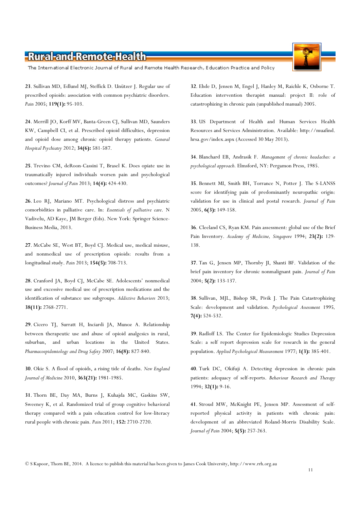The International Electronic Journal of Rural and Remote Health Research, Education Practice and Policy

23. Sullivan MD, Edlund MJ, Steffick D. Unützer J. Regular use of prescribed opioids: association with common psychiatric disorders. Pain 2005; 119(1): 95-103.

24. Merrill JO, Korff MV, Banta-Green CJ, Sullivan MD, Saunders KW, Campbell CI, et al. Prescribed opioid difficulties, depression and opioid dose among chronic opioid therapy patients. General Hospital Psychiatry 2012; 34(6): 581-587.

25. Trevino CM, deRoon-Cassini T, Brasel K. Does opiate use in traumatically injured individuals worsen pain and psychological outcomes? Journal of Pain 2013; 14(4): 424-430.

26. Leo RJ, Mariano MT. Psychological distress and psychiatric comorbidities in palliative care. In: Essentials of palliative care. N Vadivelu, AD Kaye, JM Berger (Eds). New York: Springer Science-Business Media, 2013.

27. McCabe SE, West BT, Boyd CJ. Medical use, medical misuse, and nonmedical use of prescription opioids: results from a longitudinal study. Pain 2013; 154(5): 708-713.

28. Cranford JA, Boyd CJ, McCabe SE. Adolescents' nonmedical use and excessive medical use of prescription medications and the identification of substance use subgroups. Addictive Behaviors 2013; 38(11): 2768-2771.

29. Cicero TJ, Surratt H, Inciardi JA, Munoz A. Relationship between therapeutic use and abuse of opioid analgesics in rural, suburban, and urban locations in the United States. Pharmacoepidemiology and Drug Safety 2007; 16(8): 827-840.

30. Okie S. A flood of opioids, a rising tide of deaths. New England Journal of Medicine 2010, 363(21): 1981-1985.

31. Thorn BE, Day MA, Burns J, Kuhajda MC, Gaskins SW, Sweeney K, et al. Randomized trial of group cognitive behavioral therapy compared with a pain education control for low-literacy rural people with chronic pain. Pain 2011; 152: 2710-2720.

32. Ehde D, Jensen M, Engel J, Hanley M, Raichle K, Osborne T. Education intervention therapist manual: project II: role of catastrophizing in chronic pain (unpublished manual) 2005.

33. US Department of Health and Human Services Health Resources and Services Administration. Available: http://muafind. hrsa.gov/index.aspx (Accessed 30 May 2013).

34. Blanchard EB, Andrasik F. Management of chronic headaches: a psychological approach. Elmsford, NY: Pergamon Press, 1985.

35. Bennett MI, Smith BH, Torrance N, Potter J. The S-LANSS score for identifying pain of predominantly neuropathic origin: validation for use in clinical and postal research. Journal of Pain 2005, 6(3): 149-158.

36. Cleeland CS, Ryan KM. Pain assessment: global use of the Brief Pain Inventory. Academy of Medicine, Singapore 1994; 23(2): 129-138.

37. Tan G, Jensen MP, Thornby JI, Shanti BF. Validation of the brief pain inventory for chronic nonmalignant pain. Journal of Pain 2004; 5(2): 133-137.

38. Sullivan, MJL, Bishop SR, Pivik J. The Pain Catastrophizing Scale: development and validation. Psychological Assessment 1995, 7(4): 524-532.

39. Radloff LS. The Center for Epidemiologic Studies Depression Scale: a self report depression scale for research in the general population. Applied Psychological Measurement 1977; 1(3): 385-401.

40. Turk DC, Okifuji A. Detecting depression in chronic pain patients: adequacy of self-reports. Behaviour Research and Therapy 1994; 32(1): 9-16.

41. Stroud MW, McKnight PE, Jensen MP. Assessment of selfreported physical activity in patients with chronic pain: development of an abbreviated Roland-Morris Disability Scale. Journal of Pain 2004; 5(5): 257-263.